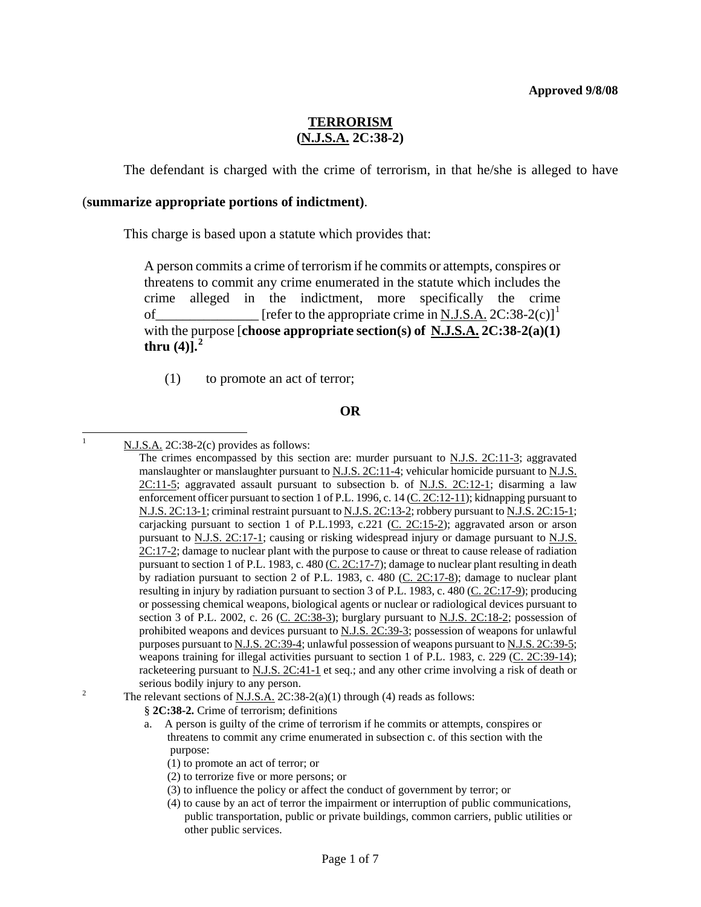# **TERRORISM (N.J.S.A. 2C:38-2)**

The defendant is charged with the crime of terrorism, in that he/she is alleged to have

### (**summarize appropriate portions of indictment)**.

This charge is based upon a statute which provides that:

A person commits a crime of terrorism if he commits or attempts, conspires or threatens to commit any crime enumerated in the statute which includes the crime alleged in the indictment, more specifically the crime of  $\boxed{\phantom{2766767}}$  [refer to the appropriate crime in N.J.S.A. 2C:38-2(c)]<sup>[1](#page-0-0)</sup> with the purpose [**choose appropriate section(s) of N.J.S.A. 2C:38-2(a)(1) thru (4)].[2](#page-0-1)**

(1) to promote an act of terror;

#### **OR**

 $\frac{1}{1}$ 

- <span id="page-0-1"></span>
	- § **2C:38-2.** Crime of terrorism; definitions
	- a. A person is guilty of the crime of terrorism if he commits or attempts, conspires or threatens to commit any crime enumerated in subsection c. of this section with the purpose:
		- (1) to promote an act of terror; or
		- (2) to terrorize five or more persons; or
		- (3) to influence the policy or affect the conduct of government by terror; or
		- (4) to cause by an act of terror the impairment or interruption of public communications, public transportation, public or private buildings, common carriers, public utilities or other public services.

N.J.S.A. 2C:38-2(c) provides as follows:

<span id="page-0-0"></span>The crimes encompassed by this section are: murder pursuant to  $N.J.S. 2C:11-3$ ; aggravated manslaughter or manslaughter pursuant to [N.J.S.](http://www.lexis.com/research/buttonTFLink?_m=814ac2fefd6f4a84ec694e4ba379afd9&_xfercite=%3ccite%20cc%3d%22USA%22%3e%3c%21%5bCDATA%5bN.J.%20Stat.%20%a7%202C%3a38-2%5d%5d%3e%3c%2fcite%3e&_butType=4&_butStat=0&_butNum=4&_butInline=1&_butinfo=NJCODE%202C%3a11-5&_fmtstr=FULL&docnum=1&_startdoc=1&wchp=dGLbVzz-zSkAB&_md5=42b825b3e797a42f519ad412e611ff24)  $2C:11-4$ ; vehicular homicide pursuant to N.J.S. [2C:11-5](http://www.lexis.com/research/buttonTFLink?_m=814ac2fefd6f4a84ec694e4ba379afd9&_xfercite=%3ccite%20cc%3d%22USA%22%3e%3c%21%5bCDATA%5bN.J.%20Stat.%20%a7%202C%3a38-2%5d%5d%3e%3c%2fcite%3e&_butType=4&_butStat=0&_butNum=4&_butInline=1&_butinfo=NJCODE%202C%3a11-5&_fmtstr=FULL&docnum=1&_startdoc=1&wchp=dGLbVzz-zSkAB&_md5=42b825b3e797a42f519ad412e611ff24); aggravated assault pursuant to subsection b. of [N.J.S. 2C:12-1](http://www.lexis.com/research/buttonTFLink?_m=814ac2fefd6f4a84ec694e4ba379afd9&_xfercite=%3ccite%20cc%3d%22USA%22%3e%3c%21%5bCDATA%5bN.J.%20Stat.%20%a7%202C%3a38-2%5d%5d%3e%3c%2fcite%3e&_butType=4&_butStat=0&_butNum=5&_butInline=1&_butinfo=NJCODE%202C%3a12-1&_fmtstr=FULL&docnum=1&_startdoc=1&wchp=dGLbVzz-zSkAB&_md5=cf552a78c7b50a99c3812d14fd868d43); disarming a law enforcement officer pursuant to section 1 of P.L. 1996, c. 14 ([C. 2C:12-11\)](http://www.lexis.com/research/buttonTFLink?_m=814ac2fefd6f4a84ec694e4ba379afd9&_xfercite=%3ccite%20cc%3d%22USA%22%3e%3c%21%5bCDATA%5bN.J.%20Stat.%20%a7%202C%3a38-2%5d%5d%3e%3c%2fcite%3e&_butType=4&_butStat=0&_butNum=6&_butInline=1&_butinfo=NJCODE%202C%3a12-11&_fmtstr=FULL&docnum=1&_startdoc=1&wchp=dGLbVzz-zSkAB&_md5=cf873924676da282dc08d42be12b06df); kidnapping pursuant to [N.J.S. 2C:13-1](http://www.lexis.com/research/buttonTFLink?_m=814ac2fefd6f4a84ec694e4ba379afd9&_xfercite=%3ccite%20cc%3d%22USA%22%3e%3c%21%5bCDATA%5bN.J.%20Stat.%20%a7%202C%3a38-2%5d%5d%3e%3c%2fcite%3e&_butType=4&_butStat=0&_butNum=7&_butInline=1&_butinfo=NJCODE%202C%3a13-1&_fmtstr=FULL&docnum=1&_startdoc=1&wchp=dGLbVzz-zSkAB&_md5=1f006092f153c2fef117d9f406792e60); criminal restraint pursuant to [N.J.S. 2C:13-2](http://www.lexis.com/research/buttonTFLink?_m=814ac2fefd6f4a84ec694e4ba379afd9&_xfercite=%3ccite%20cc%3d%22USA%22%3e%3c%21%5bCDATA%5bN.J.%20Stat.%20%a7%202C%3a38-2%5d%5d%3e%3c%2fcite%3e&_butType=4&_butStat=0&_butNum=8&_butInline=1&_butinfo=NJCODE%202C%3a13-2&_fmtstr=FULL&docnum=1&_startdoc=1&wchp=dGLbVzz-zSkAB&_md5=bbbd0ff92a92b147dd2b597af05d2d2c); robbery pursuant to [N.J.S. 2C:15-1](http://www.lexis.com/research/buttonTFLink?_m=814ac2fefd6f4a84ec694e4ba379afd9&_xfercite=%3ccite%20cc%3d%22USA%22%3e%3c%21%5bCDATA%5bN.J.%20Stat.%20%a7%202C%3a38-2%5d%5d%3e%3c%2fcite%3e&_butType=4&_butStat=0&_butNum=9&_butInline=1&_butinfo=NJCODE%202C%3a15-1&_fmtstr=FULL&docnum=1&_startdoc=1&wchp=dGLbVzz-zSkAB&_md5=a2fee9524b29cda4a4b652a1a5bc100c); carjacking pursuant to section 1 of P.L.1993, c.221 ([C. 2C:15-2](http://www.lexis.com/research/buttonTFLink?_m=814ac2fefd6f4a84ec694e4ba379afd9&_xfercite=%3ccite%20cc%3d%22USA%22%3e%3c%21%5bCDATA%5bN.J.%20Stat.%20%a7%202C%3a38-2%5d%5d%3e%3c%2fcite%3e&_butType=4&_butStat=0&_butNum=10&_butInline=1&_butinfo=NJCODE%202C%3a15-2&_fmtstr=FULL&docnum=1&_startdoc=1&wchp=dGLbVzz-zSkAB&_md5=af6f1e66c77e6caa6fdc73d1c93c4858)); aggravated arson or arson pursuant to [N.J.S. 2C:17-1;](http://www.lexis.com/research/buttonTFLink?_m=814ac2fefd6f4a84ec694e4ba379afd9&_xfercite=%3ccite%20cc%3d%22USA%22%3e%3c%21%5bCDATA%5bN.J.%20Stat.%20%a7%202C%3a38-2%5d%5d%3e%3c%2fcite%3e&_butType=4&_butStat=0&_butNum=11&_butInline=1&_butinfo=NJCODE%202C%3a17-1&_fmtstr=FULL&docnum=1&_startdoc=1&wchp=dGLbVzz-zSkAB&_md5=d7065f9d3701e9deb4f8ce61f68ae6c3) causing or risking widespread injury or damage pursuant to [N.J.S.](http://www.lexis.com/research/buttonTFLink?_m=814ac2fefd6f4a84ec694e4ba379afd9&_xfercite=%3ccite%20cc%3d%22USA%22%3e%3c%21%5bCDATA%5bN.J.%20Stat.%20%a7%202C%3a38-2%5d%5d%3e%3c%2fcite%3e&_butType=4&_butStat=0&_butNum=12&_butInline=1&_butinfo=NJCODE%202C%3a17-2&_fmtstr=FULL&docnum=1&_startdoc=1&wchp=dGLbVzz-zSkAB&_md5=d4a9b3706b5f1eeec4395ba4a524aa79)  [2C:17-2](http://www.lexis.com/research/buttonTFLink?_m=814ac2fefd6f4a84ec694e4ba379afd9&_xfercite=%3ccite%20cc%3d%22USA%22%3e%3c%21%5bCDATA%5bN.J.%20Stat.%20%a7%202C%3a38-2%5d%5d%3e%3c%2fcite%3e&_butType=4&_butStat=0&_butNum=12&_butInline=1&_butinfo=NJCODE%202C%3a17-2&_fmtstr=FULL&docnum=1&_startdoc=1&wchp=dGLbVzz-zSkAB&_md5=d4a9b3706b5f1eeec4395ba4a524aa79); damage to nuclear plant with the purpose to cause or threat to cause release of radiation pursuant to section 1 of P.L. 1983, c. 480 ([C. 2C:17-7\)](http://www.lexis.com/research/buttonTFLink?_m=814ac2fefd6f4a84ec694e4ba379afd9&_xfercite=%3ccite%20cc%3d%22USA%22%3e%3c%21%5bCDATA%5bN.J.%20Stat.%20%a7%202C%3a38-2%5d%5d%3e%3c%2fcite%3e&_butType=4&_butStat=0&_butNum=13&_butInline=1&_butinfo=NJCODE%202C%3a17-7&_fmtstr=FULL&docnum=1&_startdoc=1&wchp=dGLbVzz-zSkAB&_md5=7e58ef2734109a0c5f7d26f6b8108e0d); damage to nuclear plant resulting in death by radiation pursuant to section 2 of P.L. 1983, c. 480 ([C. 2C:17-8\)](http://www.lexis.com/research/buttonTFLink?_m=814ac2fefd6f4a84ec694e4ba379afd9&_xfercite=%3ccite%20cc%3d%22USA%22%3e%3c%21%5bCDATA%5bN.J.%20Stat.%20%a7%202C%3a38-2%5d%5d%3e%3c%2fcite%3e&_butType=4&_butStat=0&_butNum=14&_butInline=1&_butinfo=NJCODE%202C%3a17-8&_fmtstr=FULL&docnum=1&_startdoc=1&wchp=dGLbVzz-zSkAB&_md5=a864a7459fb48dbe303f4cc9fb8a3a67); damage to nuclear plant resulting in injury by radiation pursuant to section 3 of P.L. 1983, c. 480 [\(C. 2C:17-9](http://www.lexis.com/research/buttonTFLink?_m=814ac2fefd6f4a84ec694e4ba379afd9&_xfercite=%3ccite%20cc%3d%22USA%22%3e%3c%21%5bCDATA%5bN.J.%20Stat.%20%a7%202C%3a38-2%5d%5d%3e%3c%2fcite%3e&_butType=4&_butStat=0&_butNum=15&_butInline=1&_butinfo=NJCODE%202C%3a17-9&_fmtstr=FULL&docnum=1&_startdoc=1&wchp=dGLbVzz-zSkAB&_md5=2558bfd9618830c61741b55e5f2b1b5b)); producing or possessing chemical weapons, biological agents or nuclear or radiological devices pursuant to section 3 of P.L. 2002, c. 26 ([C. 2C:38-3\)](http://www.lexis.com/research/buttonTFLink?_m=814ac2fefd6f4a84ec694e4ba379afd9&_xfercite=%3ccite%20cc%3d%22USA%22%3e%3c%21%5bCDATA%5bN.J.%20Stat.%20%a7%202C%3a38-2%5d%5d%3e%3c%2fcite%3e&_butType=4&_butStat=0&_butNum=16&_butInline=1&_butinfo=NJCODE%202C%3a38-3&_fmtstr=FULL&docnum=1&_startdoc=1&wchp=dGLbVzz-zSkAB&_md5=dd5d7c24a39426db49b4ed5325d63e5f); burglary pursuant to [N.J.S. 2C:18-2](http://www.lexis.com/research/buttonTFLink?_m=814ac2fefd6f4a84ec694e4ba379afd9&_xfercite=%3ccite%20cc%3d%22USA%22%3e%3c%21%5bCDATA%5bN.J.%20Stat.%20%a7%202C%3a38-2%5d%5d%3e%3c%2fcite%3e&_butType=4&_butStat=0&_butNum=17&_butInline=1&_butinfo=NJCODE%202C%3a18-2&_fmtstr=FULL&docnum=1&_startdoc=1&wchp=dGLbVzz-zSkAB&_md5=43473d1d26a76a5509bff3d0664d2e0f); possession of prohibited weapons and devices pursuant to [N.J.S. 2C:39-3;](http://www.lexis.com/research/buttonTFLink?_m=814ac2fefd6f4a84ec694e4ba379afd9&_xfercite=%3ccite%20cc%3d%22USA%22%3e%3c%21%5bCDATA%5bN.J.%20Stat.%20%a7%202C%3a38-2%5d%5d%3e%3c%2fcite%3e&_butType=4&_butStat=0&_butNum=18&_butInline=1&_butinfo=NJCODE%202C%3a39-3&_fmtstr=FULL&docnum=1&_startdoc=1&wchp=dGLbVzz-zSkAB&_md5=bf311e5d06b49462e12467af4dc92aab) possession of weapons for unlawful purposes pursuant to [N.J.S. 2C:39-4;](http://www.lexis.com/research/buttonTFLink?_m=814ac2fefd6f4a84ec694e4ba379afd9&_xfercite=%3ccite%20cc%3d%22USA%22%3e%3c%21%5bCDATA%5bN.J.%20Stat.%20%a7%202C%3a38-2%5d%5d%3e%3c%2fcite%3e&_butType=4&_butStat=0&_butNum=19&_butInline=1&_butinfo=NJCODE%202C%3a39-4&_fmtstr=FULL&docnum=1&_startdoc=1&wchp=dGLbVzz-zSkAB&_md5=edd7401aea72d7b89ae0bb046e42a156) unlawful possession of weapons pursuant to [N.J.S. 2C:39-5](http://www.lexis.com/research/buttonTFLink?_m=814ac2fefd6f4a84ec694e4ba379afd9&_xfercite=%3ccite%20cc%3d%22USA%22%3e%3c%21%5bCDATA%5bN.J.%20Stat.%20%a7%202C%3a38-2%5d%5d%3e%3c%2fcite%3e&_butType=4&_butStat=0&_butNum=20&_butInline=1&_butinfo=NJCODE%202C%3a39-5&_fmtstr=FULL&docnum=1&_startdoc=1&wchp=dGLbVzz-zSkAB&_md5=3d4ab644dea2546d5eb0f836b10c782e); weapons training for illegal activities pursuant to section 1 of P.L. 1983, c. 229 [\(C. 2C:39-14\)](http://www.lexis.com/research/buttonTFLink?_m=814ac2fefd6f4a84ec694e4ba379afd9&_xfercite=%3ccite%20cc%3d%22USA%22%3e%3c%21%5bCDATA%5bN.J.%20Stat.%20%a7%202C%3a38-2%5d%5d%3e%3c%2fcite%3e&_butType=4&_butStat=0&_butNum=21&_butInline=1&_butinfo=NJCODE%202C%3a39-14&_fmtstr=FULL&docnum=1&_startdoc=1&wchp=dGLbVzz-zSkAB&_md5=98ced1e9dbe071416578583d2cbefa35); racketeering pursuant to [N.J.S. 2C:41-1](http://www.lexis.com/research/buttonTFLink?_m=814ac2fefd6f4a84ec694e4ba379afd9&_xfercite=%3ccite%20cc%3d%22USA%22%3e%3c%21%5bCDATA%5bN.J.%20Stat.%20%a7%202C%3a38-2%5d%5d%3e%3c%2fcite%3e&_butType=4&_butStat=0&_butNum=22&_butInline=1&_butinfo=NJCODE%202C%3a41-1&_fmtstr=FULL&docnum=1&_startdoc=1&wchp=dGLbVzz-zSkAB&_md5=f611ec72bf3f21eecb5f6b8b9906ea5e) et seq.; and any other crime involving a risk of death or serious bodily injury to any person.<br>
<sup>2</sup> The relevant sections of N.J.S.A. 2C:38-2(a)(1) through (4) reads as follows: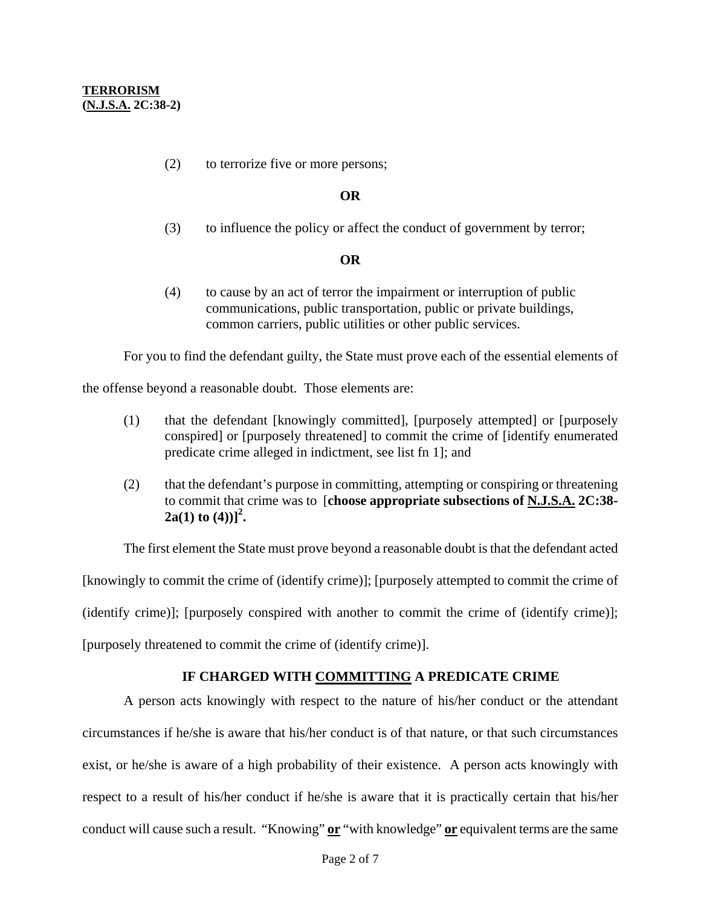(2) to terrorize five or more persons;

### **OR**

(3) to influence the policy or affect the conduct of government by terror;

### **OR**

(4) to cause by an act of terror the impairment or interruption of public communications, public transportation, public or private buildings, common carriers, public utilities or other public services.

For you to find the defendant guilty, the State must prove each of the essential elements of

the offense beyond a reasonable doubt. Those elements are:

- (1) that the defendant [knowingly committed], [purposely attempted] or [purposely conspired] or [purposely threatened] to commit the crime of [identify enumerated predicate crime alleged in indictment, see list fn 1]; and
- (2) that the defendant's purpose in committing, attempting or conspiring or threatening to commit that crime was to [**choose appropriate subsections of N.J.S.A. 2C:38- 2a**(1) **to** (4))]<sup>2</sup>.

The first element the State must prove beyond a reasonable doubt is that the defendant acted

[knowingly to commit the crime of (identify crime)]; [purposely attempted to commit the crime of

(identify crime)]; [purposely conspired with another to commit the crime of (identify crime)];

[purposely threatened to commit the crime of (identify crime)].

# **IF CHARGED WITH COMMITTING A PREDICATE CRIME**

A person acts knowingly with respect to the nature of his/her conduct or the attendant circumstances if he/she is aware that his/her conduct is of that nature, or that such circumstances exist, or he/she is aware of a high probability of their existence. A person acts knowingly with respect to a result of his/her conduct if he/she is aware that it is practically certain that his/her conduct will cause such a result. "Knowing" **or** "with knowledge" **or** equivalent terms are the same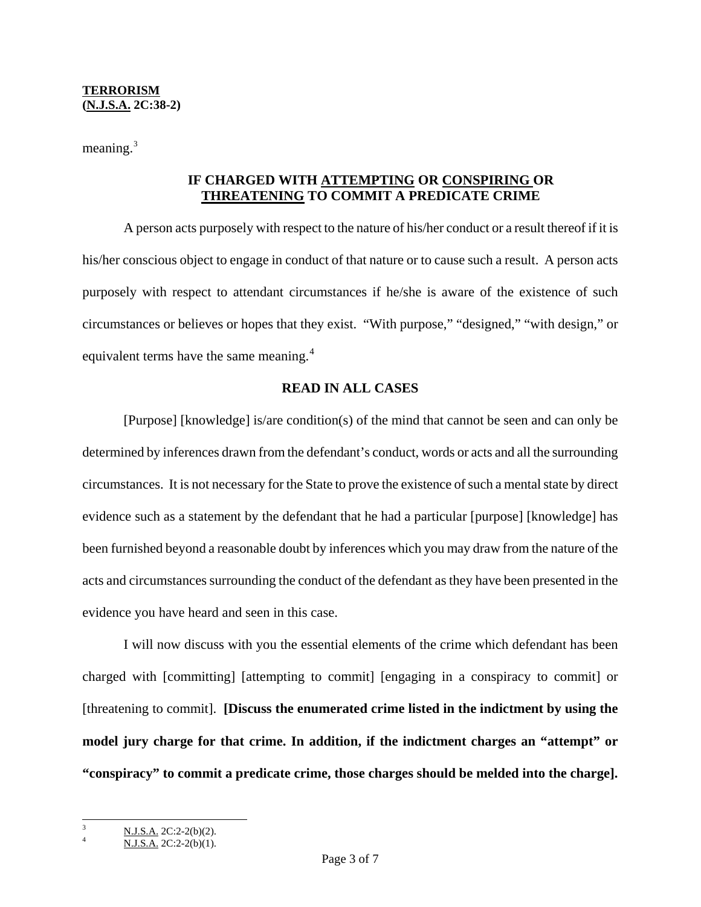meaning. $3$ 

# **IF CHARGED WITH ATTEMPTING OR CONSPIRING OR THREATENING TO COMMIT A PREDICATE CRIME**

A person acts purposely with respect to the nature of his/her conduct or a result thereof if it is his/her conscious object to engage in conduct of that nature or to cause such a result. A person acts purposely with respect to attendant circumstances if he/she is aware of the existence of such circumstances or believes or hopes that they exist. "With purpose," "designed," "with design," or equivalent terms have the same meaning.<sup>[4](#page-2-1)</sup>

### **READ IN ALL CASES**

[Purpose] [knowledge] is/are condition(s) of the mind that cannot be seen and can only be determined by inferences drawn from the defendant's conduct, words or acts and all the surrounding circumstances. It is not necessary for the State to prove the existence of such a mental state by direct evidence such as a statement by the defendant that he had a particular [purpose] [knowledge] has been furnished beyond a reasonable doubt by inferences which you may draw from the nature of the acts and circumstances surrounding the conduct of the defendant as they have been presented in the evidence you have heard and seen in this case.

I will now discuss with you the essential elements of the crime which defendant has been charged with [committing] [attempting to commit] [engaging in a conspiracy to commit] or [threatening to commit]. **[Discuss the enumerated crime listed in the indictment by using the model jury charge for that crime. In addition, if the indictment charges an "attempt" or "conspiracy" to commit a predicate crime, those charges should be melded into the charge].** 

 $\overline{\phantom{a}}$ 

<span id="page-2-1"></span><span id="page-2-0"></span><sup>3</sup> N.J.S.A. 2C:2-2(b)(2). 4

N.J.S.A. 2C:2-2(b)(1).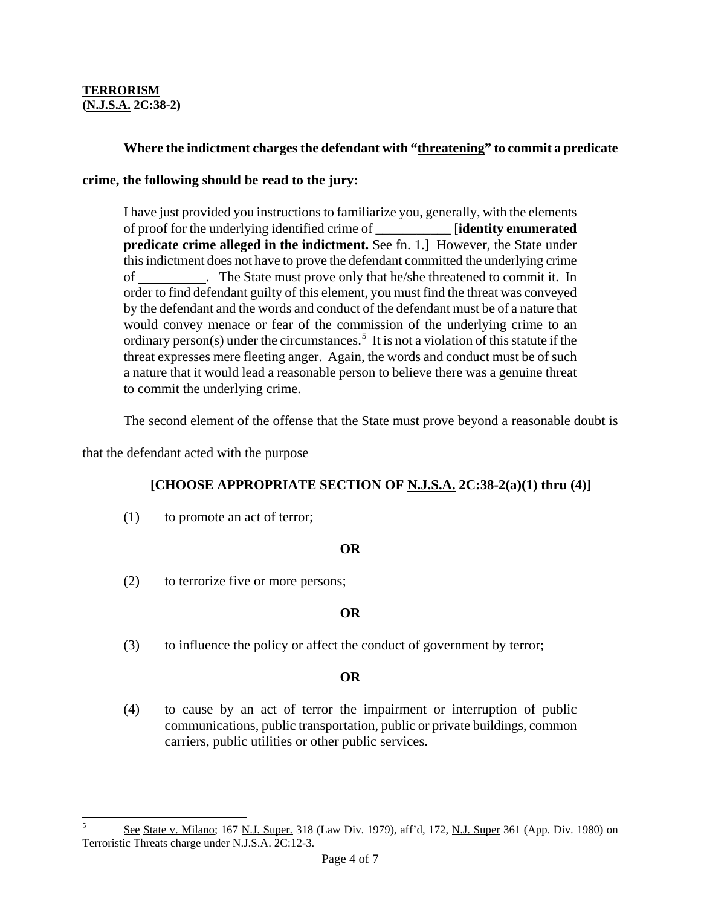### **TERRORISM (N.J.S.A. 2C:38-2)**

# **Where the indictment charges the defendant with "threatening" to commit a predicate**

### **crime, the following should be read to the jury:**

I have just provided you instructions to familiarize you, generally, with the elements of proof for the underlying identified crime of \_\_\_\_\_\_\_\_\_\_\_ [**identity enumerated predicate crime alleged in the indictment.** See fn. 1.] However, the State under this indictment does not have to prove the defendant committed the underlying crime of . The State must prove only that he/she threatened to commit it. In order to find defendant guilty of this element, you must find the threat was conveyed by the defendant and the words and conduct of the defendant must be of a nature that would convey menace or fear of the commission of the underlying crime to an ordinary person(s) under the circumstances.<sup>[5](#page-3-0)</sup> It is not a violation of this statute if the threat expresses mere fleeting anger. Again, the words and conduct must be of such a nature that it would lead a reasonable person to believe there was a genuine threat to commit the underlying crime.

The second element of the offense that the State must prove beyond a reasonable doubt is

that the defendant acted with the purpose

# **[CHOOSE APPROPRIATE SECTION OF N.J.S.A. 2C:38-2(a)(1) thru (4)]**

(1) to promote an act of terror;

#### **OR**

(2) to terrorize five or more persons;

# **OR**

(3) to influence the policy or affect the conduct of government by terror;

# **OR**

(4) to cause by an act of terror the impairment or interruption of public communications, public transportation, public or private buildings, common carriers, public utilities or other public services.

<span id="page-3-0"></span> $\overline{\mathbf{S}}$ See State v. Milano; 167 N.J. Super. 318 (Law Div. 1979), aff'd, 172, N.J. Super 361 (App. Div. 1980) on Terroristic Threats charge under N.J.S.A. 2C:12-3.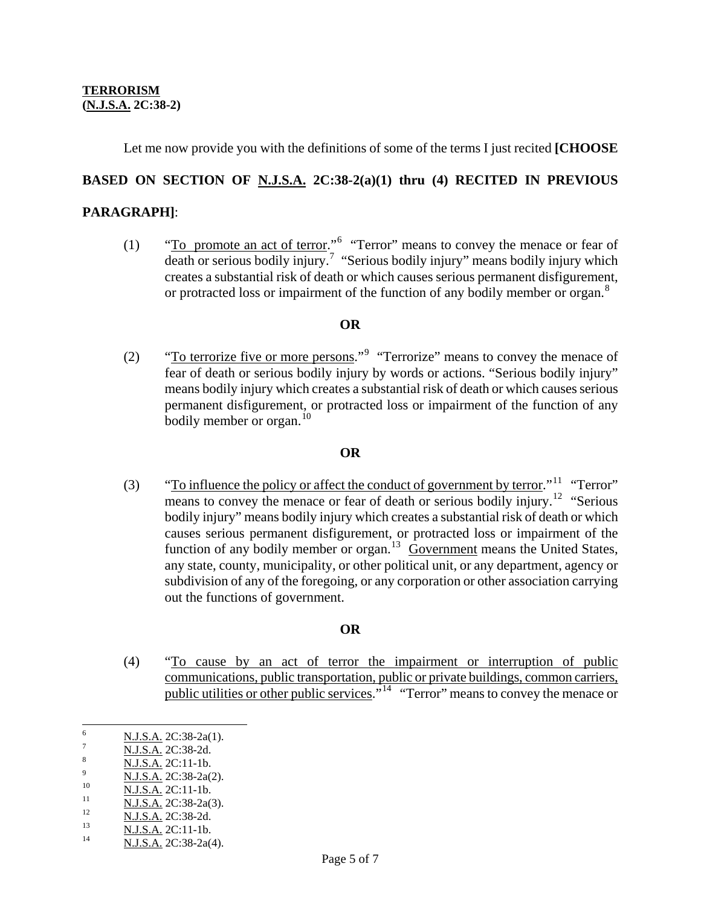Let me now provide you with the definitions of some of the terms I just recited **[CHOOSE** 

# **BASED ON SECTION OF N.J.S.A. 2C:38-2(a)(1) thru (4) RECITED IN PREVIOUS**

### **PARAGRAPH]**:

(1)  $\text{``To promote an act of terror.'''}$  "Terror" means to convey the menace or fear of death or serious bodily injury.<sup>[7](#page-4-1)</sup> "Serious bodily injury" means bodily injury which creates a substantial risk of death or which causes serious permanent disfigurement, or protracted loss or impairment of the function of any bodily member or organ.<sup>[8](#page-4-2)</sup>

### **OR**

(2)  $\text{``To errorize five or more persons.'''}$  "Terrorize" means to convey the menace of fear of death or serious bodily injury by words or actions. "Serious bodily injury" means bodily injury which creates a substantial risk of death or which causes serious permanent disfigurement, or protracted loss or impairment of the function of any bodily member or organ. $^{10}$  $^{10}$  $^{10}$ 

# **OR**

(3) "To influence the policy or affect the conduct of government by terror."<sup>[11](#page-4-5)</sup> "Terror" means to convey the menace or fear of death or serious bodily injury.<sup>[12](#page-4-6)</sup> "Serious" bodily injury" means bodily injury which creates a substantial risk of death or which causes serious permanent disfigurement, or protracted loss or impairment of the function of any bodily member or organ.<sup>[13](#page-4-7)</sup> Government means the United States, any state, county, municipality, or other political unit, or any department, agency or subdivision of any of the foregoing, or any corporation or other association carrying out the functions of government.

# **OR**

 (4) "To cause by an act of terror the impairment or interruption of public communications, public transportation, public or private buildings, common carriers, public utilities or other public services.<sup>"[14](#page-4-8)</sup> "Terror" means to convey the menace or

<span id="page-4-0"></span> 6  $\frac{6}{7}$  N.J.S.A. 2C:38-2a(1).

<span id="page-4-1"></span> $\frac{N \text{ J.S.A.}}{N \text{ L.S.A.}}$  2C:38-2d.

<span id="page-4-2"></span> $\frac{N.J.S.A.}{N.J.S.A.}$  2C:11-1b.<br>9  $N.J.S.A.$  2C:38-2a(2).

<span id="page-4-3"></span>

<span id="page-4-4"></span><sup>10 &</sup>lt;br>
<u>N.J.S.A.</u> 2C:11-1b.<br>
12 <br>
<u>N.J.S.A.</u> 2C:38-2a(3).<br>
13 <br>
<u>N.J.S.A.</u> 2C:11-1b.<br>
N.J.S.A. 2C:38-2a(4).

<span id="page-4-6"></span><span id="page-4-5"></span>

<span id="page-4-7"></span>

<span id="page-4-8"></span>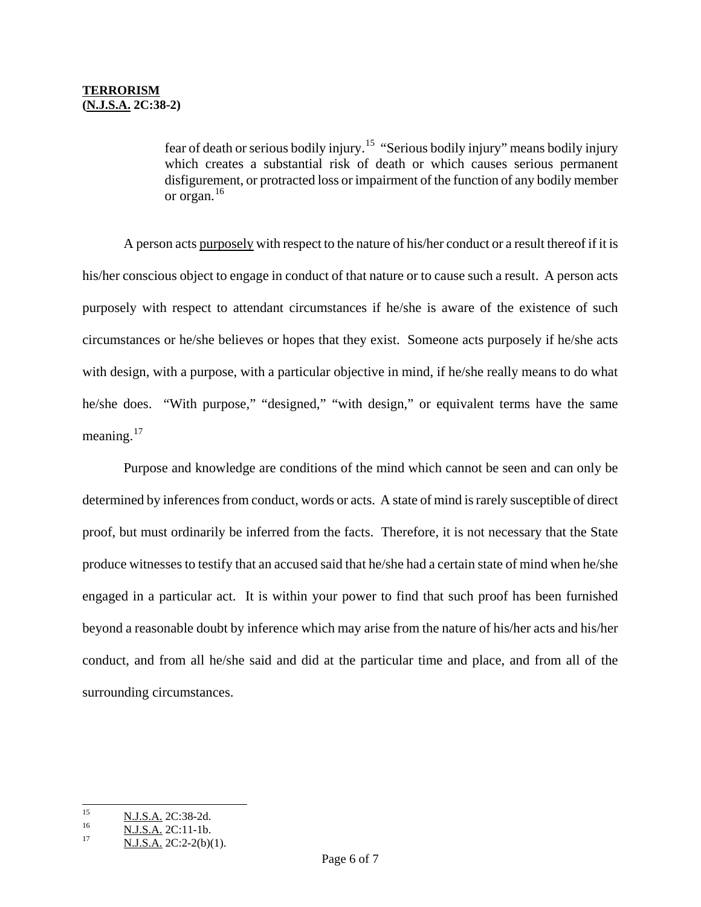fear of death or serious bodily injury.[15](#page-5-0) "Serious bodily injury" means bodily injury which creates a substantial risk of death or which causes serious permanent disfigurement, or protracted loss or impairment of the function of any bodily member or organ. $16$ 

 A person acts purposely with respect to the nature of his/her conduct or a result thereof if it is his/her conscious object to engage in conduct of that nature or to cause such a result. A person acts purposely with respect to attendant circumstances if he/she is aware of the existence of such circumstances or he/she believes or hopes that they exist. Someone acts purposely if he/she acts with design, with a purpose, with a particular objective in mind, if he/she really means to do what he/she does. "With purpose," "designed," "with design," or equivalent terms have the same meaning. $17$ 

 Purpose and knowledge are conditions of the mind which cannot be seen and can only be determined by inferences from conduct, words or acts. A state of mind is rarely susceptible of direct proof, but must ordinarily be inferred from the facts. Therefore, it is not necessary that the State produce witnesses to testify that an accused said that he/she had a certain state of mind when he/she engaged in a particular act. It is within your power to find that such proof has been furnished beyond a reasonable doubt by inference which may arise from the nature of his/her acts and his/her conduct, and from all he/she said and did at the particular time and place, and from all of the surrounding circumstances.

<span id="page-5-1"></span><span id="page-5-0"></span><sup>15</sup> 

<sup>&</sup>lt;sup>15</sup>  $\frac{N.J.S.A.}{N.J.S.A.}$  2C:38-2d.<br>
<sup>16</sup>  $\frac{N.J.S.A.}{N.J.S.A.}$  2C:2-2(b)(1).

<span id="page-5-2"></span>